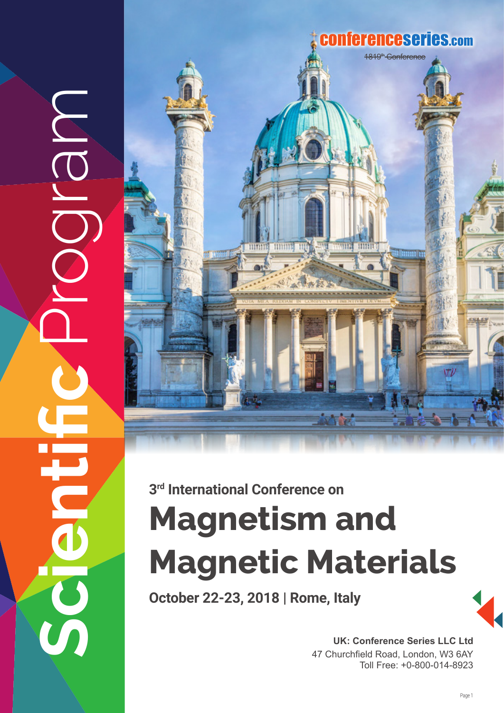

## **3rd International Conference on**

MBIC

 $\mathcal{G}$ 

# **Magnetism and Magnetic Materials**

**October 22-23, 2018 | Rome, Italy**

**UK: Conference Series LLC Ltd** 47 Churchfield Road, London, W3 6AY Toll Free: +0-800-014-8923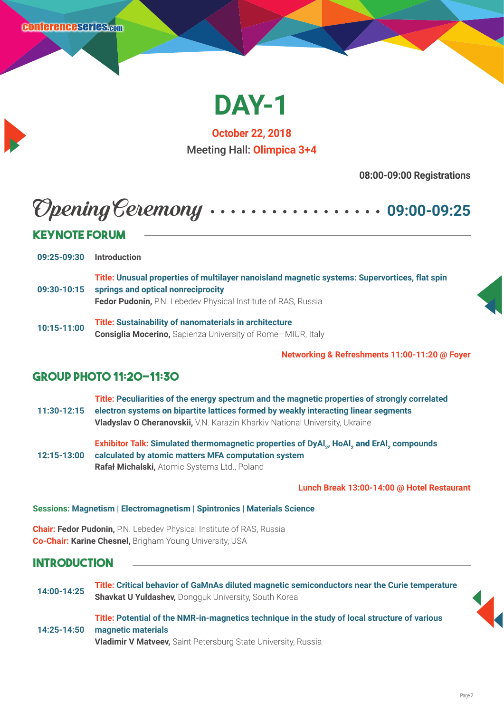

**October 22, 2018** Meeting Hall: **Olimpica 3+4**

**08:00-09:00 Registrations**

## Opening Ceremony **09:00-09:25**

| <b>KEYNOTE FORUM</b> |                                                                                                                                     |  |  |
|----------------------|-------------------------------------------------------------------------------------------------------------------------------------|--|--|
|                      |                                                                                                                                     |  |  |
| 09:25-09:30          | <b>Introduction</b>                                                                                                                 |  |  |
| 09:30-10:15          | Title: Unusual properties of multilayer nanoisland magnetic systems: Supervortices, flat spin<br>springs and optical nonreciprocity |  |  |
|                      | Fedor Pudonin, P.N. Lebedev Physical Institute of RAS, Russia                                                                       |  |  |
| 10:15-11:00          | <b>Title: Sustainability of nanomaterials in architecture</b><br><b>Consiglia Mocerino, Sapienza University of Rome-MIUR, Italy</b> |  |  |

**Networking & Refreshments 11:00-11:20 @ Foyer**

#### **Group Photo 11:20-11:30**

**11:30-12:15 Title: Peculiarities of the energy spectrum and the magnetic properties of strongly correlated electron systems on bipartite lattices formed by weakly interacting linear segments Vladyslav O Cheranovskii,** V.N. Karazin Kharkiv National University, Ukraine

**12:15-13:00 Exhibitor Talk: Simulated thermomagnetic properties of DyAl<sub>2</sub>, HoAl<sub>2</sub> and ErAl<sub>2</sub> compounds calculated by atomic matters MFA computation system Rafał Michalski,** Atomic Systems Ltd., Poland

**Lunch Break 13:00-14:00 @ Hotel Restaurant**

#### **Sessions: Magnetism | Electromagnetism | Spintronics | Materials Science**

**Chair: Fedor Pudonin,** P.N. Lebedev Physical Institute of RAS, Russia **Co-Chair: Karine Chesnel,** Brigham Young University, USA

#### **Introduction**

**14:00-14:25 Title: Critical behavior of GaMnAs diluted magnetic semiconductors near the Curie temperature Shavkat U Yuldashev,** Dongguk University, South Korea

**14:25-14:50 Title: Potential of the NMR-in-magnetics technique in the study of local structure of various magnetic materials Vladimir V Matveev,** Saint Petersburg State University, Russia

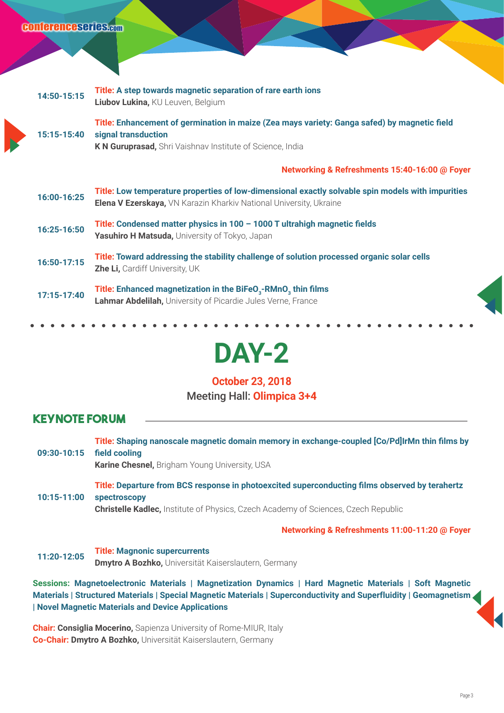| 14:50-15:15 | Title: A step towards magnetic separation of rare earth ions<br>Liubov Lukina, KU Leuven, Belgium                                                                                |
|-------------|----------------------------------------------------------------------------------------------------------------------------------------------------------------------------------|
| 15:15-15:40 | Title: Enhancement of germination in maize (Zea mays variety: Ganga safed) by magnetic field<br>signal transduction<br>K N Guruprasad, Shri Vaishnav Institute of Science, India |
|             | Networking & Refreshments 15:40-16:00 @ Foyer                                                                                                                                    |
| 16:00-16:25 | Title: Low temperature properties of low-dimensional exactly solvable spin models with impurities<br>Elena V Ezerskaya, VN Karazin Kharkiv National University, Ukraine          |
| 16:25-16:50 | Title: Condensed matter physics in $100 - 1000$ T ultrahigh magnetic fields<br>Yasuhiro H Matsuda, University of Tokyo, Japan                                                    |
| 16:50-17:15 | Title: Toward addressing the stability challenge of solution processed organic solar cells<br><b>Zhe Li, Cardiff University, UK</b>                                              |
| 17:15-17:40 | Title: Enhanced magnetization in the BiFeO <sub>3</sub> -RMnO <sub>3</sub> thin films<br>Lahmar Abdelilah, University of Picardie Jules Verne, France                            |
|             |                                                                                                                                                                                  |

**DAY-2** 

#### **October 23, 2018** Meeting Hall: **Olimpica 3+4**

#### **Keynote Forum**

| 09:30-10:15 | Title: Shaping nanoscale magnetic domain memory in exchange-coupled [Co/Pd]IrMn thin films by<br>field cooling<br><b>Karine Chesnel, Brigham Young University, USA</b>                                             |
|-------------|--------------------------------------------------------------------------------------------------------------------------------------------------------------------------------------------------------------------|
| 10:15-11:00 | Title: Departure from BCS response in photoexcited superconducting films observed by terahertz<br><b>spectroscopy</b><br><b>Christelle Kadlec, Institute of Physics, Czech Academy of Sciences, Czech Republic</b> |
|             | Networking & Refreshments 11:00-11:20 @ Foyer                                                                                                                                                                      |
| 11:20-12:05 | <b>Title: Magnonic supercurrents</b><br>Dmytro A Bozhko, Universität Kaiserslautern, Germany                                                                                                                       |
|             | Sessions: Magnetoelectronic Materials   Magnetization Dynamics   Hard Magnetic Materials   Soft Magnetic                                                                                                           |
|             | Materials   Structured Materials   Special Magnetic Materials   Superconductivity and Superfluidity   Geomagnetism<br>  Novel Magnetic Materials and Device Applications                                           |

**Chair: Consiglia Mocerino,** Sapienza University of Rome-MIUR, Italy **Co-Chair: Dmytro A Bozhko,** Universität Kaiserslautern, Germany